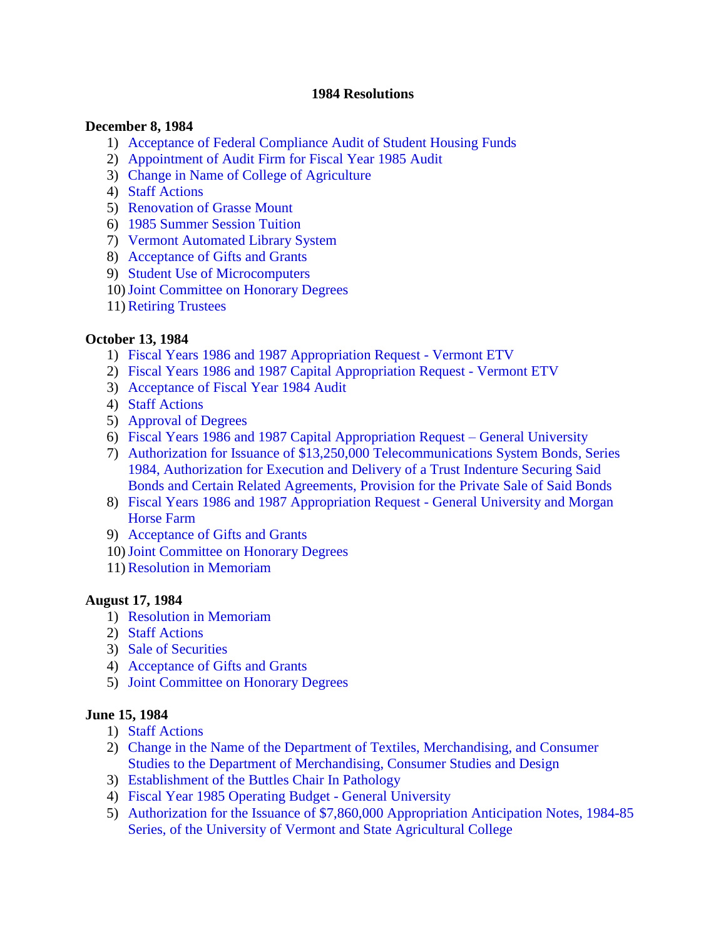#### **1984 Resolutions**

#### **December 8, 1984**

- 1) [Acceptance of Federal Compliance Audit of Student Housing Funds](#page-2-0)
- 2) [Appointment of Audit Firm for Fiscal Year 1985 Audit](#page-2-0)
- 3) [Change in Name of College of Agriculture](#page-2-0)
- 4) [Staff Actions](#page-2-0)
- 5) [Renovation of Grasse Mount](#page-3-0)
- 6) [1985 Summer Session Tuition](#page-3-0)
- 7) [Vermont Automated Library System](#page-3-0)
- 8) [Acceptance of Gifts and Grants](#page-3-0)
- 9) [Student Use of Microcomputers](#page-3-0)
- 10)[Joint Committee on Honorary Degrees](#page-3-0)
- 11)[Retiring Trustees](#page-4-0)

#### **October 13, 1984**

- 1) [Fiscal Years 1986 and 1987 Appropriation Request Vermont ETV](#page-5-0)
- 2) [Fiscal Years 1986 and 1987 Capital Appropriation Request Vermont ETV](#page-5-0)
- 3) [Acceptance of Fiscal Year 1984 Audit](#page-5-0)
- 4) [Staff Actions](#page-5-0)
- 5) [Approval of Degrees](#page-5-0)
- 6) [Fiscal Years 1986 and 1987 Capital Appropriation Request –](#page-5-0) General University
- 7) Authorization for Issuance of \$13,250,000 Telecommunications System Bonds, Series 1984, Authorization for Execution and Delivery of a Trust Indenture Securing Said [Bonds and Certain Related Agreements, Provision for the Private Sale of Said Bonds](#page-7-0)
- 8) [Fiscal Years 1986 and 1987 Appropriation Request General University and Morgan](#page-7-0)  Horse Farm
- 9) [Acceptance of Gifts and Grants](#page-7-0)
- 10)[Joint Committee on Honorary Degrees](#page-7-0)
- 11)[Resolution in Memoriam](#page-8-0)

#### **August 17, 1984**

- 1) [Resolution in Memoriam](#page-8-0)
- 2) [Staff Actions](#page-9-0)
- 3) [Sale of Securities](#page-9-0)
- 4) [Acceptance of Gifts and Grants](#page-9-0)
- 5) [Joint Committee on Honorary Degrees](#page-9-0)

#### **June 15, 1984**

- 1) [Staff Actions](#page-11-0)
- 2) Change in the Name of the Department of Textiles, Merchandising, and Consumer [Studies to the Department of Merchandising, Consumer Studies and Design](#page-11-0)
- 3) [Establishment of the Buttles Chair In Pathology](#page-11-0)
- 4) [Fiscal Year 1985 Operating Budget General University](#page-11-0)
- 5) [Authorization for the Issuance of \\$7,860,000 Appropriation Anticipation Notes, 1984-85](#page-11-0)  Series, of the University of Vermont and State Agricultural College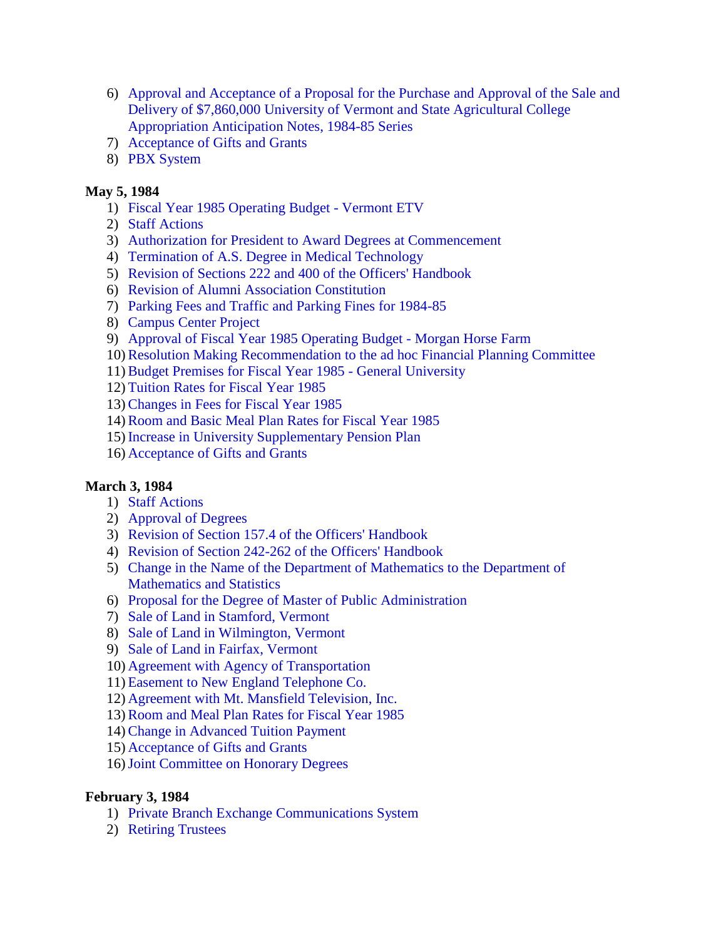- 6) Approval and Acceptance of a Proposal for the Purchase and Approval of the Sale and [Delivery of \\$7,860,000 University of Vermont and State Agricultural College](#page-11-0)  Appropriation Anticipation Notes, 1984-85 Series
- 7) [Acceptance of Gifts and Grants](#page-11-0)
- 8) [PBX System](#page-11-0)

# **May 5, 1984**

- 1) [Fiscal Year 1985 Operating Budget Vermont ETV](#page-13-0)
- 2) [Staff Actions](#page-13-0)
- 3) [Authorization for President to Award Degrees at Commencement](#page-13-0)
- 4) [Termination of A.S. Degree in Medical Technology](#page-13-0)
- 5) [Revision of Sections 222 and 400 of the Officers' Handbook](#page-13-0)
- 6) [Revision of Alumni Association Constitution](#page-13-0)
- 7) [Parking Fees and Traffic and Parking Fines for 1984-85](#page-13-0)
- 8) [Campus Center Project](#page-15-0)
- 9) [Approval of Fiscal Year 1985 Operating Budget Morgan Horse Farm](#page-15-0)
- 10)[Resolution Making Recommendation to the ad hoc Financial Planning Committee](#page-15-0)
- 11)[Budget Premises for Fiscal Year 1985 General University](#page-15-0)
- 12) [Tuition Rates for Fiscal Year 1985](#page-15-0)
- 13)[Changes in Fees for Fiscal Year 1985](#page-16-0)
- 14)[Room and Basic Meal Plan Rates for Fiscal Year 1985](#page-16-0)
- 15) [Increase in University Supplementary Pension Plan](#page-17-0)
- 16) [Acceptance of Gifts and Grants](#page-17-0)

# **March 3, 1984**

- 1) [Staff Actions](#page-18-0)
- 2) [Approval of Degrees](#page-18-0)
- 3) [Revision of Section 157.4 of the Officers' Handbook](#page-18-0)
- 4) [Revision of Section 242-262 of the Officers' Handbook](#page-18-0)
- 5) [Change in the Name of the Department of Mathematics to the Department of](#page-18-0) Mathematics and Statistics
- 6) [Proposal for the Degree of Master of Public Administration](#page-18-0)
- 7) [Sale of Land in Stamford, Vermont](#page-18-0)
- 8) [Sale of Land in Wilmington, Vermont](#page-19-0)
- 9) [Sale of Land in Fairfax, Vermont](#page-19-0)
- 10) [Agreement with Agency of Transportation](#page-19-0)
- 11) [Easement to New England Telephone Co.](#page-19-0)
- 12) [Agreement with Mt. Mansfield Television, Inc.](#page-20-0)
- 13)[Room and Meal Plan Rates for Fiscal Year 1985](#page-20-0)
- 14[\)Change in Advanced Tuition Payment](#page-20-0)
- 15) [Acceptance of Gifts and Grants](#page-20-0)
- 16[\)Joint Committee on Honorary Degrees](#page-20-0)

# **February 3, 1984**

- 1) [Private Branch Exchange Communications System](#page-22-0)
- 2) [Retiring Trustees](#page-22-0)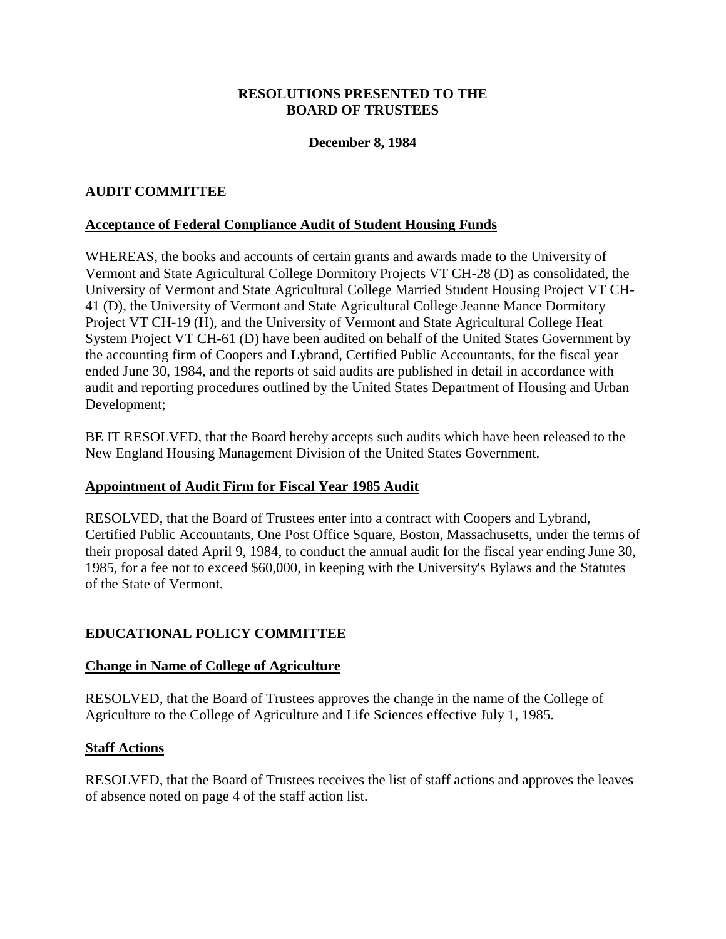## **December 8, 1984**

# <span id="page-2-0"></span>**AUDIT COMMITTEE**

#### **Acceptance of Federal Compliance Audit of Student Housing Funds**

WHEREAS, the books and accounts of certain grants and awards made to the University of Vermont and State Agricultural College Dormitory Projects VT CH-28 (D) as consolidated, the University of Vermont and State Agricultural College Married Student Housing Project VT CH-41 (D), the University of Vermont and State Agricultural College Jeanne Mance Dormitory Project VT CH-19 (H), and the University of Vermont and State Agricultural College Heat System Project VT CH-61 (D) have been audited on behalf of the United States Government by the accounting firm of Coopers and Lybrand, Certified Public Accountants, for the fiscal year ended June 30, 1984, and the reports of said audits are published in detail in accordance with audit and reporting procedures outlined by the United States Department of Housing and Urban Development;

BE IT RESOLVED, that the Board hereby accepts such audits which have been released to the New England Housing Management Division of the United States Government.

#### **Appointment of Audit Firm for Fiscal Year 1985 Audit**

RESOLVED, that the Board of Trustees enter into a contract with Coopers and Lybrand, Certified Public Accountants, One Post Office Square, Boston, Massachusetts, under the terms of their proposal dated April 9, 1984, to conduct the annual audit for the fiscal year ending June 30, 1985, for a fee not to exceed \$60,000, in keeping with the University's Bylaws and the Statutes of the State of Vermont.

#### **EDUCATIONAL POLICY COMMITTEE**

#### **Change in Name of College of Agriculture**

RESOLVED, that the Board of Trustees approves the change in the name of the College of Agriculture to the College of Agriculture and Life Sciences effective July 1, 1985.

#### **Staff Actions**

RESOLVED, that the Board of Trustees receives the list of staff actions and approves the leaves of absence noted on page 4 of the staff action list.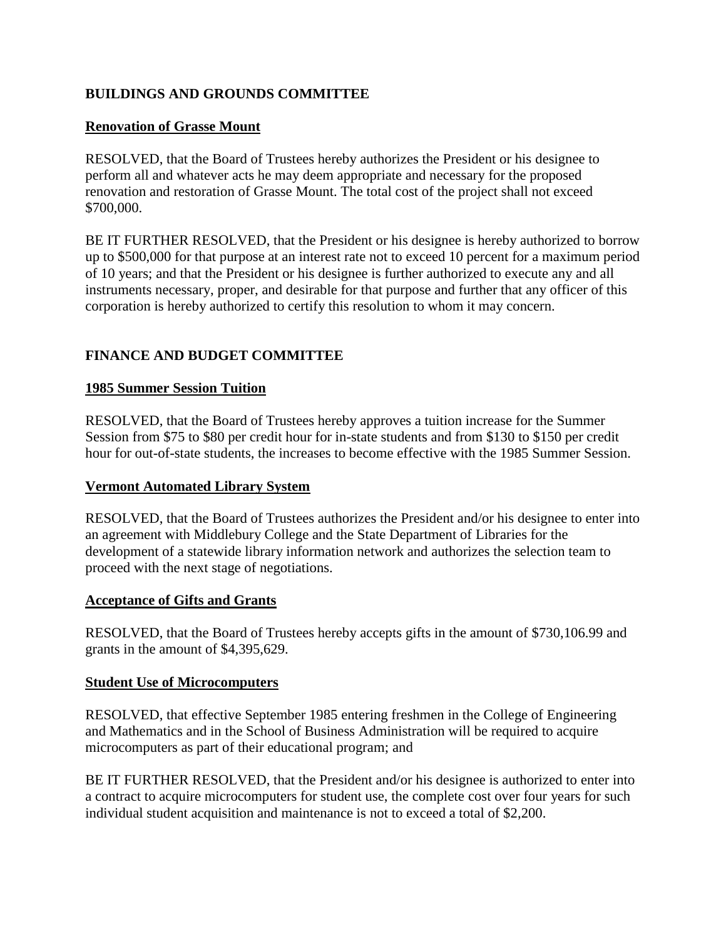# <span id="page-3-0"></span>**BUILDINGS AND GROUNDS COMMITTEE**

# **Renovation of Grasse Mount**

RESOLVED, that the Board of Trustees hereby authorizes the President or his designee to perform all and whatever acts he may deem appropriate and necessary for the proposed renovation and restoration of Grasse Mount. The total cost of the project shall not exceed \$700,000.

BE IT FURTHER RESOLVED, that the President or his designee is hereby authorized to borrow up to \$500,000 for that purpose at an interest rate not to exceed 10 percent for a maximum period of 10 years; and that the President or his designee is further authorized to execute any and all instruments necessary, proper, and desirable for that purpose and further that any officer of this corporation is hereby authorized to certify this resolution to whom it may concern.

# **FINANCE AND BUDGET COMMITTEE**

#### **1985 Summer Session Tuition**

RESOLVED, that the Board of Trustees hereby approves a tuition increase for the Summer Session from \$75 to \$80 per credit hour for in-state students and from \$130 to \$150 per credit hour for out-of-state students, the increases to become effective with the 1985 Summer Session.

#### **Vermont Automated Library System**

RESOLVED, that the Board of Trustees authorizes the President and/or his designee to enter into an agreement with Middlebury College and the State Department of Libraries for the development of a statewide library information network and authorizes the selection team to proceed with the next stage of negotiations.

#### **Acceptance of Gifts and Grants**

RESOLVED, that the Board of Trustees hereby accepts gifts in the amount of \$730,106.99 and grants in the amount of \$4,395,629.

#### **Student Use of Microcomputers**

RESOLVED, that effective September 1985 entering freshmen in the College of Engineering and Mathematics and in the School of Business Administration will be required to acquire microcomputers as part of their educational program; and

BE IT FURTHER RESOLVED, that the President and/or his designee is authorized to enter into a contract to acquire microcomputers for student use, the complete cost over four years for such individual student acquisition and maintenance is not to exceed a total of \$2,200.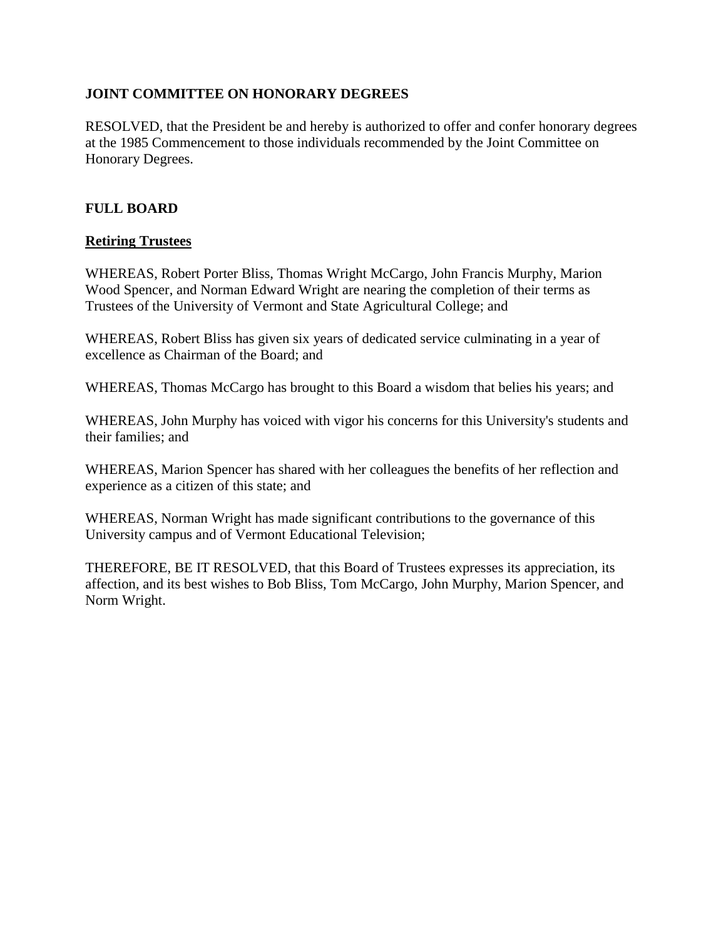# <span id="page-4-0"></span>**JOINT COMMITTEE ON HONORARY DEGREES**

RESOLVED, that the President be and hereby is authorized to offer and confer honorary degrees at the 1985 Commencement to those individuals recommended by the Joint Committee on Honorary Degrees.

# **FULL BOARD**

# **Retiring Trustees**

WHEREAS, Robert Porter Bliss, Thomas Wright McCargo, John Francis Murphy, Marion Wood Spencer, and Norman Edward Wright are nearing the completion of their terms as Trustees of the University of Vermont and State Agricultural College; and

WHEREAS, Robert Bliss has given six years of dedicated service culminating in a year of excellence as Chairman of the Board; and

WHEREAS, Thomas McCargo has brought to this Board a wisdom that belies his years; and

WHEREAS, John Murphy has voiced with vigor his concerns for this University's students and their families; and

WHEREAS, Marion Spencer has shared with her colleagues the benefits of her reflection and experience as a citizen of this state; and

WHEREAS, Norman Wright has made significant contributions to the governance of this University campus and of Vermont Educational Television;

THEREFORE, BE IT RESOLVED, that this Board of Trustees expresses its appreciation, its affection, and its best wishes to Bob Bliss, Tom McCargo, John Murphy, Marion Spencer, and Norm Wright.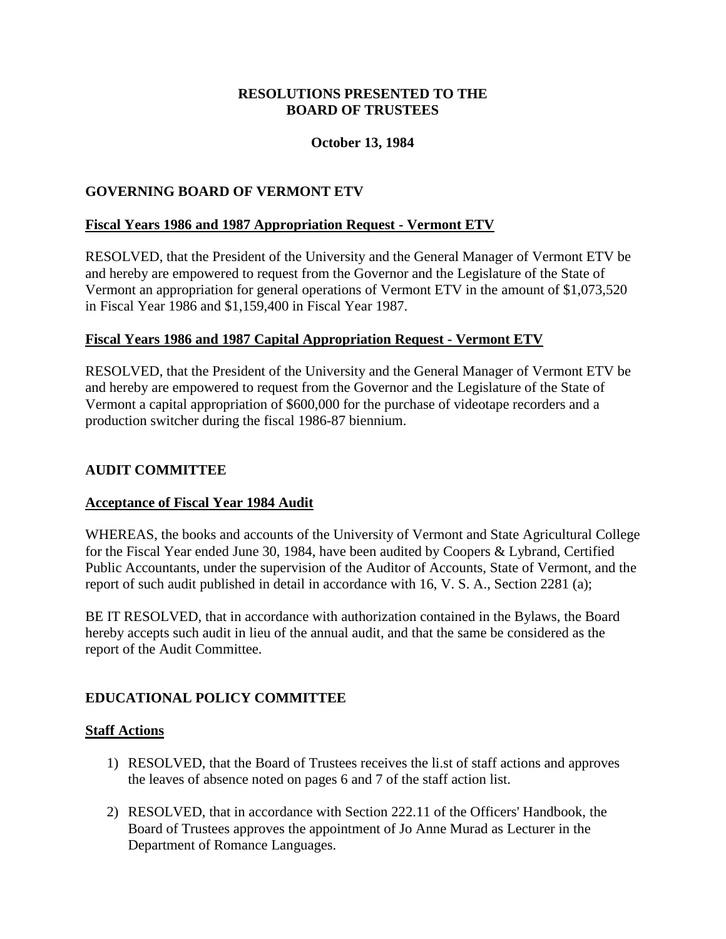## **October 13, 1984**

## <span id="page-5-0"></span>**GOVERNING BOARD OF VERMONT ETV**

## **Fiscal Years 1986 and 1987 Appropriation Request - Vermont ETV**

RESOLVED, that the President of the University and the General Manager of Vermont ETV be and hereby are empowered to request from the Governor and the Legislature of the State of Vermont an appropriation for general operations of Vermont ETV in the amount of \$1,073,520 in Fiscal Year 1986 and \$1,159,400 in Fiscal Year 1987.

#### **Fiscal Years 1986 and 1987 Capital Appropriation Request - Vermont ETV**

RESOLVED, that the President of the University and the General Manager of Vermont ETV be and hereby are empowered to request from the Governor and the Legislature of the State of Vermont a capital appropriation of \$600,000 for the purchase of videotape recorders and a production switcher during the fiscal 1986-87 biennium.

## **AUDIT COMMITTEE**

#### **Acceptance of Fiscal Year 1984 Audit**

WHEREAS, the books and accounts of the University of Vermont and State Agricultural College for the Fiscal Year ended June 30, 1984, have been audited by Coopers & Lybrand, Certified Public Accountants, under the supervision of the Auditor of Accounts, State of Vermont, and the report of such audit published in detail in accordance with 16, V. S. A., Section 2281 (a);

BE IT RESOLVED, that in accordance with authorization contained in the Bylaws, the Board hereby accepts such audit in lieu of the annual audit, and that the same be considered as the report of the Audit Committee.

# **EDUCATIONAL POLICY COMMITTEE**

#### **Staff Actions**

- 1) RESOLVED, that the Board of Trustees receives the li.st of staff actions and approves the leaves of absence noted on pages 6 and 7 of the staff action list.
- 2) RESOLVED, that in accordance with Section 222.11 of the Officers' Handbook, the Board of Trustees approves the appointment of Jo Anne Murad as Lecturer in the Department of Romance Languages.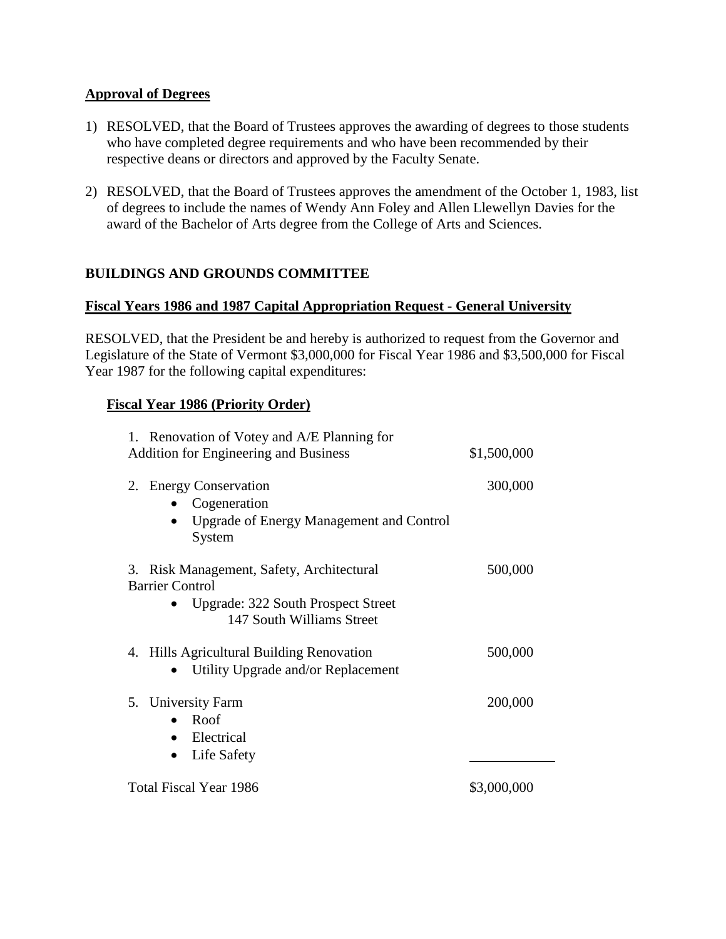## **Approval of Degrees**

- 1) RESOLVED, that the Board of Trustees approves the awarding of degrees to those students who have completed degree requirements and who have been recommended by their respective deans or directors and approved by the Faculty Senate.
- 2) RESOLVED, that the Board of Trustees approves the amendment of the October 1, 1983, list of degrees to include the names of Wendy Ann Foley and Allen Llewellyn Davies for the award of the Bachelor of Arts degree from the College of Arts and Sciences.

# **BUILDINGS AND GROUNDS COMMITTEE**

## **Fiscal Years 1986 and 1987 Capital Appropriation Request - General University**

RESOLVED, that the President be and hereby is authorized to request from the Governor and Legislature of the State of Vermont \$3,000,000 for Fiscal Year 1986 and \$3,500,000 for Fiscal Year 1987 for the following capital expenditures:

## **Fiscal Year 1986 (Priority Order)**

| 1. Renovation of Votey and A/E Planning for<br><b>Addition for Engineering and Business</b>                                                   | \$1,500,000 |
|-----------------------------------------------------------------------------------------------------------------------------------------------|-------------|
| <b>Energy Conservation</b><br>2.<br>Cogeneration<br>Upgrade of Energy Management and Control<br>System                                        | 300,000     |
| 3. Risk Management, Safety, Architectural<br><b>Barrier Control</b><br><b>Upgrade: 322 South Prospect Street</b><br>147 South Williams Street | 500,000     |
| 4. Hills Agricultural Building Renovation<br>Utility Upgrade and/or Replacement                                                               | 500,000     |
| 5. University Farm<br>Roof<br>Electrical<br>Life Safety                                                                                       | 200,000     |
| <b>Total Fiscal Year 1986</b>                                                                                                                 | \$3,000,000 |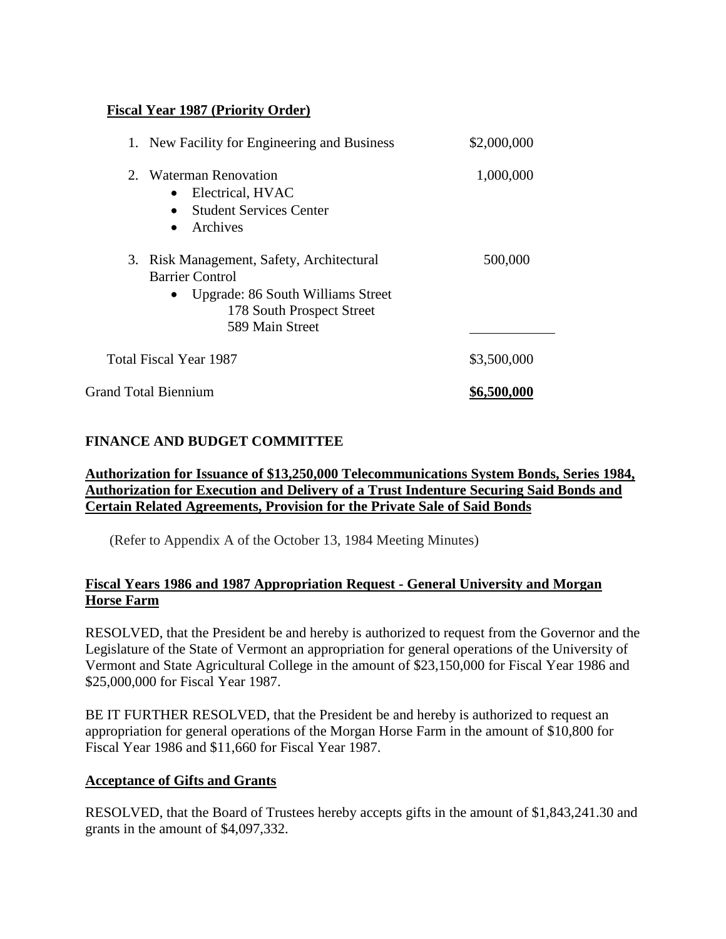# <span id="page-7-0"></span>**Fiscal Year 1987 (Priority Order)**

| 1. New Facility for Engineering and Business                                                                                                                          | \$2,000,000 |
|-----------------------------------------------------------------------------------------------------------------------------------------------------------------------|-------------|
| 2. Waterman Renovation<br>Electrical, HVAC<br><b>Student Services Center</b><br>Archives<br>$\bullet$                                                                 | 1,000,000   |
| 3. Risk Management, Safety, Architectural<br><b>Barrier Control</b><br>Upgrade: 86 South Williams Street<br>$\bullet$<br>178 South Prospect Street<br>589 Main Street | 500,000     |
| Total Fiscal Year 1987                                                                                                                                                | \$3,500,000 |
| <b>Grand Total Biennium</b>                                                                                                                                           | \$6,500,000 |

# **FINANCE AND BUDGET COMMITTEE**

## **Authorization for Issuance of \$13,250,000 Telecommunications System Bonds, Series 1984, Authorization for Execution and Delivery of a Trust Indenture Securing Said Bonds and Certain Related Agreements, Provision for the Private Sale of Said Bonds**

(Refer to Appendix A of the October 13, 1984 Meeting Minutes)

## **Fiscal Years 1986 and 1987 Appropriation Request - General University and Morgan Horse Farm**

RESOLVED, that the President be and hereby is authorized to request from the Governor and the Legislature of the State of Vermont an appropriation for general operations of the University of Vermont and State Agricultural College in the amount of \$23,150,000 for Fiscal Year 1986 and \$25,000,000 for Fiscal Year 1987.

BE IT FURTHER RESOLVED, that the President be and hereby is authorized to request an appropriation for general operations of the Morgan Horse Farm in the amount of \$10,800 for Fiscal Year 1986 and \$11,660 for Fiscal Year 1987.

#### **Acceptance of Gifts and Grants**

RESOLVED, that the Board of Trustees hereby accepts gifts in the amount of \$1,843,241.30 and grants in the amount of \$4,097,332.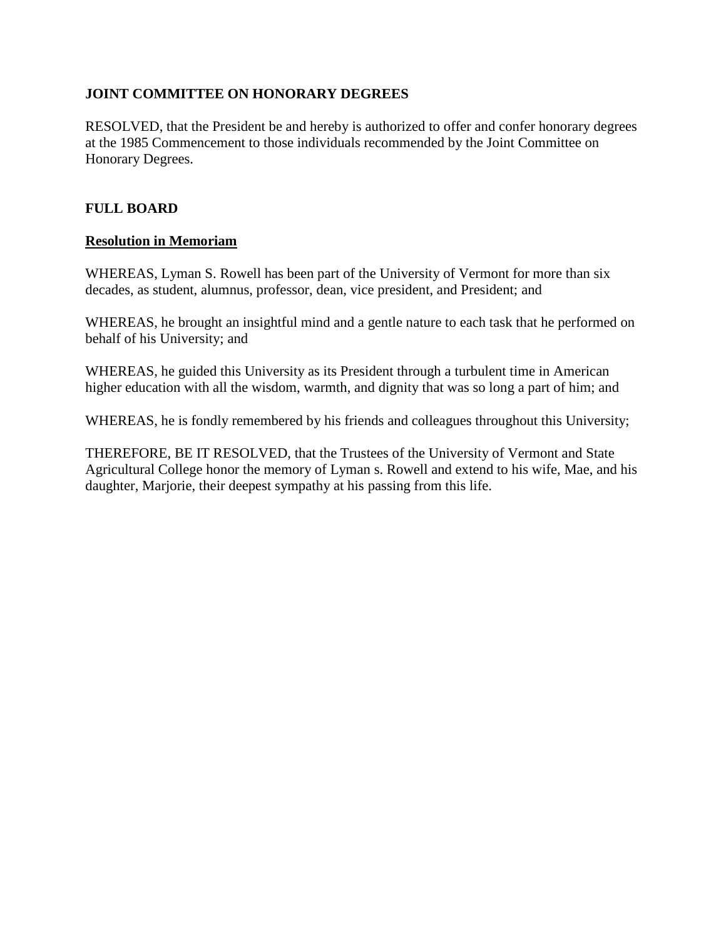# <span id="page-8-0"></span>**JOINT COMMITTEE ON HONORARY DEGREES**

RESOLVED, that the President be and hereby is authorized to offer and confer honorary degrees at the 1985 Commencement to those individuals recommended by the Joint Committee on Honorary Degrees.

# **FULL BOARD**

# **Resolution in Memoriam**

WHEREAS, Lyman S. Rowell has been part of the University of Vermont for more than six decades, as student, alumnus, professor, dean, vice president, and President; and

WHEREAS, he brought an insightful mind and a gentle nature to each task that he performed on behalf of his University; and

WHEREAS, he guided this University as its President through a turbulent time in American higher education with all the wisdom, warmth, and dignity that was so long a part of him; and

WHEREAS, he is fondly remembered by his friends and colleagues throughout this University;

THEREFORE, BE IT RESOLVED, that the Trustees of the University of Vermont and State Agricultural College honor the memory of Lyman s. Rowell and extend to his wife, Mae, and his daughter, Marjorie, their deepest sympathy at his passing from this life.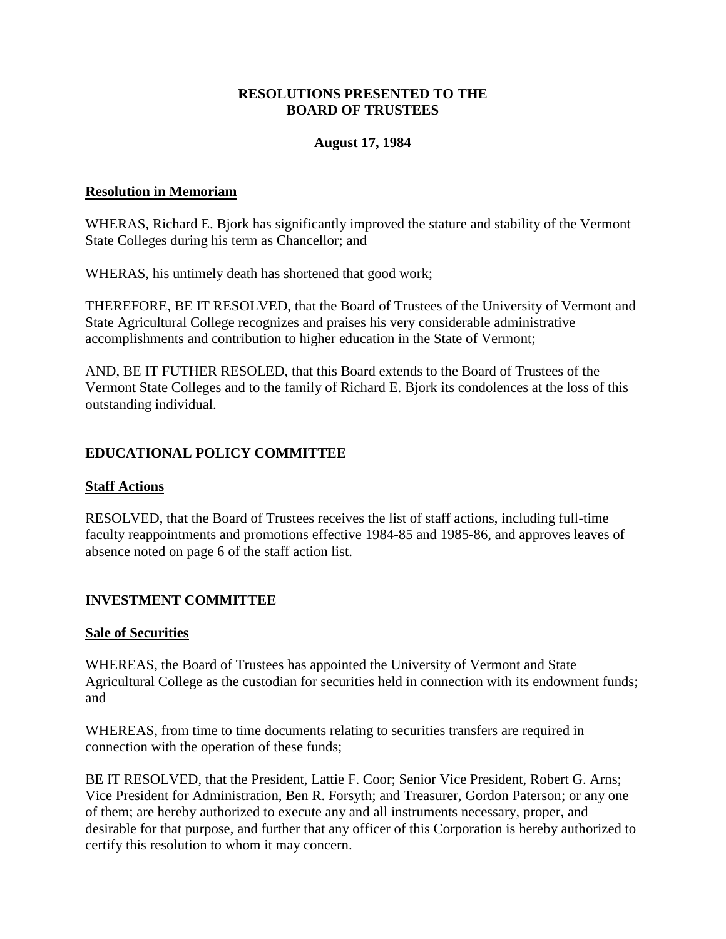## **August 17, 1984**

#### <span id="page-9-0"></span>**Resolution in Memoriam**

WHERAS, Richard E. Bjork has significantly improved the stature and stability of the Vermont State Colleges during his term as Chancellor; and

WHERAS, his untimely death has shortened that good work;

THEREFORE, BE IT RESOLVED, that the Board of Trustees of the University of Vermont and State Agricultural College recognizes and praises his very considerable administrative accomplishments and contribution to higher education in the State of Vermont;

AND, BE IT FUTHER RESOLED, that this Board extends to the Board of Trustees of the Vermont State Colleges and to the family of Richard E. Bjork its condolences at the loss of this outstanding individual.

# **EDUCATIONAL POLICY COMMITTEE**

#### **Staff Actions**

RESOLVED, that the Board of Trustees receives the list of staff actions, including full-time faculty reappointments and promotions effective 1984-85 and 1985-86, and approves leaves of absence noted on page 6 of the staff action list.

# **INVESTMENT COMMITTEE**

#### **Sale of Securities**

WHEREAS, the Board of Trustees has appointed the University of Vermont and State Agricultural College as the custodian for securities held in connection with its endowment funds; and

WHEREAS, from time to time documents relating to securities transfers are required in connection with the operation of these funds;

BE IT RESOLVED, that the President, Lattie F. Coor; Senior Vice President, Robert G. Arns; Vice President for Administration, Ben R. Forsyth; and Treasurer, Gordon Paterson; or any one of them; are hereby authorized to execute any and all instruments necessary, proper, and desirable for that purpose, and further that any officer of this Corporation is hereby authorized to certify this resolution to whom it may concern.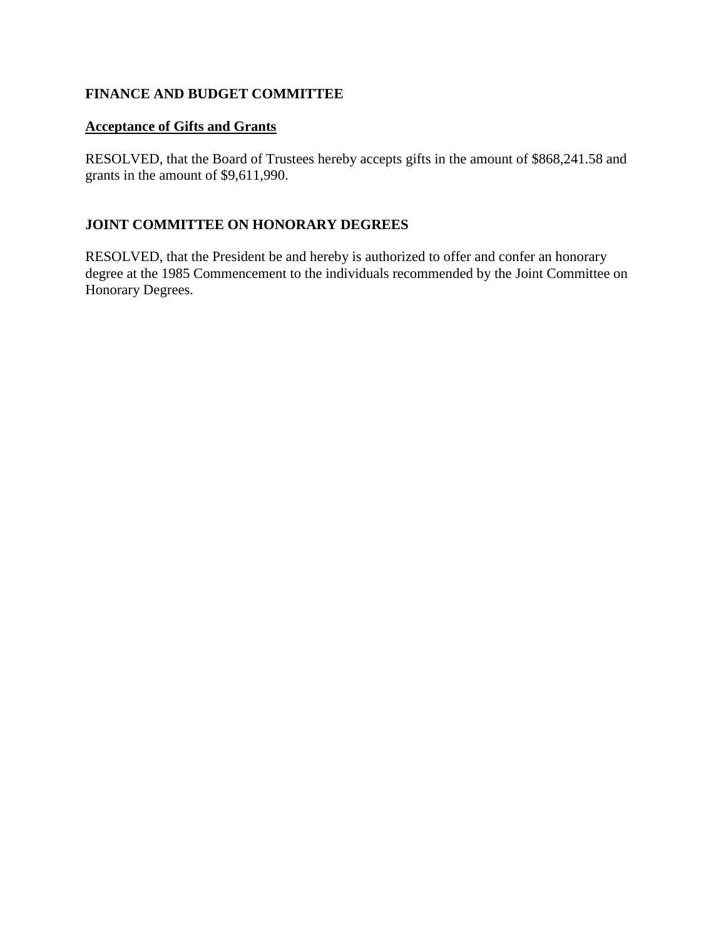# **FINANCE AND BUDGET COMMITTEE**

# **Acceptance of Gifts and Grants**

RESOLVED, that the Board of Trustees hereby accepts gifts in the amount of \$868,241.58 and grants in the amount of \$9,611,990.

# **JOINT COMMITTEE ON HONORARY DEGREES**

RESOLVED, that the President be and hereby is authorized to offer and confer an honorary degree at the 1985 Commencement to the individuals recommended by the Joint Committee on Honorary Degrees.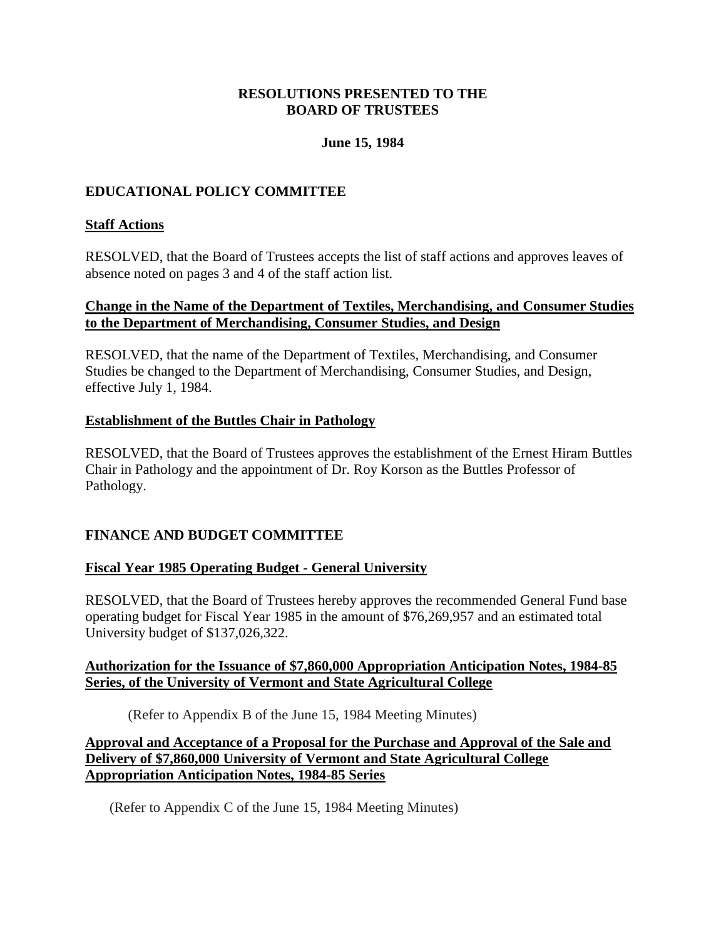# **June 15, 1984**

# <span id="page-11-0"></span>**EDUCATIONAL POLICY COMMITTEE**

# **Staff Actions**

RESOLVED, that the Board of Trustees accepts the list of staff actions and approves leaves of absence noted on pages 3 and 4 of the staff action list.

## **Change in the Name of the Department of Textiles, Merchandising, and Consumer Studies to the Department of Merchandising, Consumer Studies, and Design**

RESOLVED, that the name of the Department of Textiles, Merchandising, and Consumer Studies be changed to the Department of Merchandising, Consumer Studies, and Design, effective July 1, 1984.

## **Establishment of the Buttles Chair in Pathology**

RESOLVED, that the Board of Trustees approves the establishment of the Ernest Hiram Buttles Chair in Pathology and the appointment of Dr. Roy Korson as the Buttles Professor of Pathology.

# **FINANCE AND BUDGET COMMITTEE**

#### **Fiscal Year 1985 Operating Budget - General University**

RESOLVED, that the Board of Trustees hereby approves the recommended General Fund base operating budget for Fiscal Year 1985 in the amount of \$76,269,957 and an estimated total University budget of \$137,026,322.

## **Authorization for the Issuance of \$7,860,000 Appropriation Anticipation Notes, 1984-85 Series, of the University of Vermont and State Agricultural College**

(Refer to Appendix B of the June 15, 1984 Meeting Minutes)

### **Approval and Acceptance of a Proposal for the Purchase and Approval of the Sale and Delivery of \$7,860,000 University of Vermont and State Agricultural College Appropriation Anticipation Notes, 1984-85 Series**

(Refer to Appendix C of the June 15, 1984 Meeting Minutes)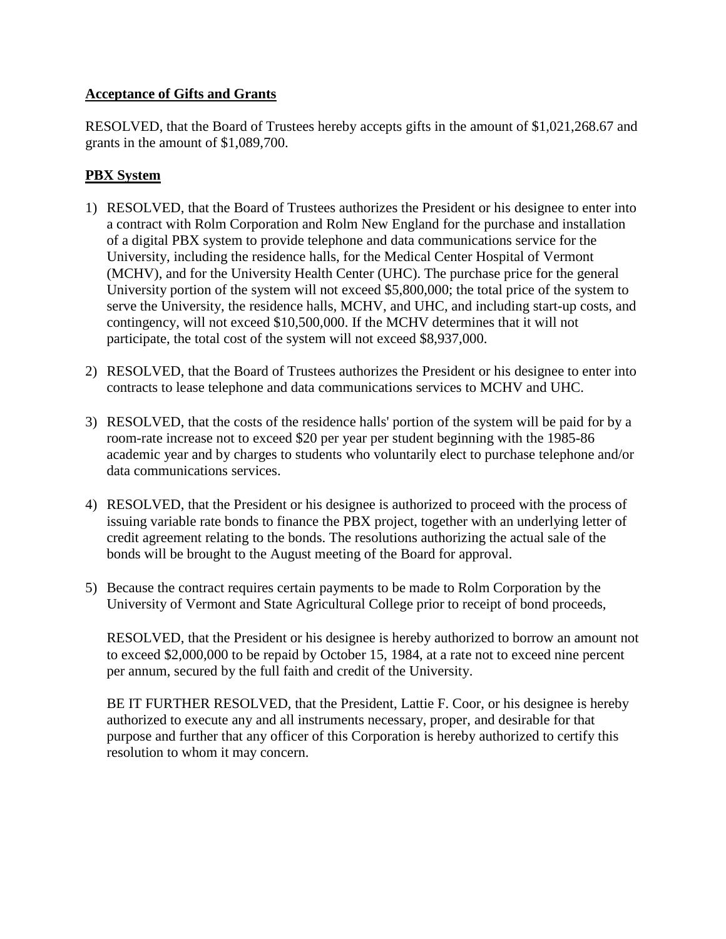# **Acceptance of Gifts and Grants**

RESOLVED, that the Board of Trustees hereby accepts gifts in the amount of \$1,021,268.67 and grants in the amount of \$1,089,700.

# **PBX System**

- 1) RESOLVED, that the Board of Trustees authorizes the President or his designee to enter into a contract with Rolm Corporation and Rolm New England for the purchase and installation of a digital PBX system to provide telephone and data communications service for the University, including the residence halls, for the Medical Center Hospital of Vermont (MCHV), and for the University Health Center (UHC). The purchase price for the general University portion of the system will not exceed \$5,800,000; the total price of the system to serve the University, the residence halls, MCHV, and UHC, and including start-up costs, and contingency, will not exceed \$10,500,000. If the MCHV determines that it will not participate, the total cost of the system will not exceed \$8,937,000.
- 2) RESOLVED, that the Board of Trustees authorizes the President or his designee to enter into contracts to lease telephone and data communications services to MCHV and UHC.
- 3) RESOLVED, that the costs of the residence halls' portion of the system will be paid for by a room-rate increase not to exceed \$20 per year per student beginning with the 1985-86 academic year and by charges to students who voluntarily elect to purchase telephone and/or data communications services.
- 4) RESOLVED, that the President or his designee is authorized to proceed with the process of issuing variable rate bonds to finance the PBX project, together with an underlying letter of credit agreement relating to the bonds. The resolutions authorizing the actual sale of the bonds will be brought to the August meeting of the Board for approval.
- 5) Because the contract requires certain payments to be made to Rolm Corporation by the University of Vermont and State Agricultural College prior to receipt of bond proceeds,

RESOLVED, that the President or his designee is hereby authorized to borrow an amount not to exceed \$2,000,000 to be repaid by October 15, 1984, at a rate not to exceed nine percent per annum, secured by the full faith and credit of the University.

BE IT FURTHER RESOLVED, that the President, Lattie F. Coor, or his designee is hereby authorized to execute any and all instruments necessary, proper, and desirable for that purpose and further that any officer of this Corporation is hereby authorized to certify this resolution to whom it may concern.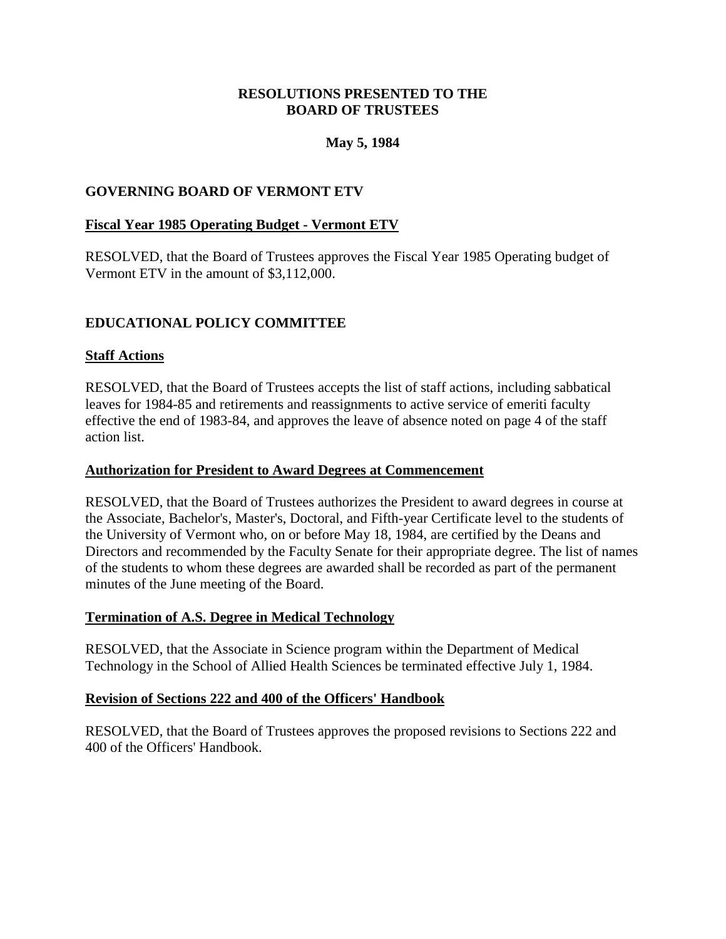# **May 5, 1984**

# <span id="page-13-0"></span>**GOVERNING BOARD OF VERMONT ETV**

## **Fiscal Year 1985 Operating Budget - Vermont ETV**

RESOLVED, that the Board of Trustees approves the Fiscal Year 1985 Operating budget of Vermont ETV in the amount of \$3,112,000.

# **EDUCATIONAL POLICY COMMITTEE**

## **Staff Actions**

RESOLVED, that the Board of Trustees accepts the list of staff actions, including sabbatical leaves for 1984-85 and retirements and reassignments to active service of emeriti faculty effective the end of 1983-84, and approves the leave of absence noted on page 4 of the staff action list.

#### **Authorization for President to Award Degrees at Commencement**

RESOLVED, that the Board of Trustees authorizes the President to award degrees in course at the Associate, Bachelor's, Master's, Doctoral, and Fifth-year Certificate level to the students of the University of Vermont who, on or before May 18, 1984, are certified by the Deans and Directors and recommended by the Faculty Senate for their appropriate degree. The list of names of the students to whom these degrees are awarded shall be recorded as part of the permanent minutes of the June meeting of the Board.

#### **Termination of A.S. Degree in Medical Technology**

RESOLVED, that the Associate in Science program within the Department of Medical Technology in the School of Allied Health Sciences be terminated effective July 1, 1984.

#### **Revision of Sections 222 and 400 of the Officers' Handbook**

RESOLVED, that the Board of Trustees approves the proposed revisions to Sections 222 and 400 of the Officers' Handbook.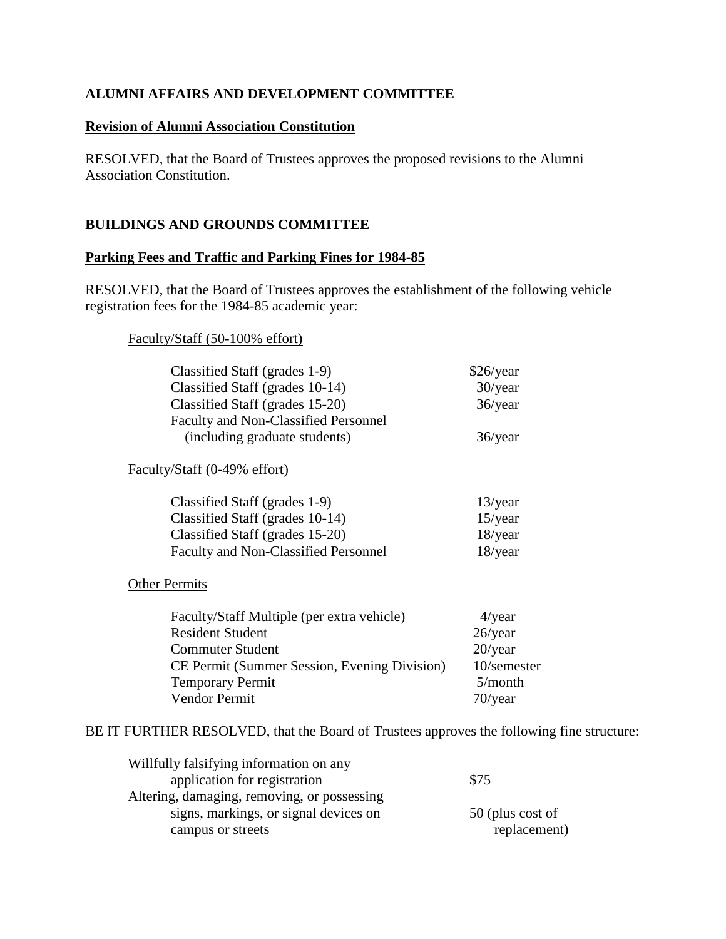# **ALUMNI AFFAIRS AND DEVELOPMENT COMMITTEE**

## **Revision of Alumni Association Constitution**

RESOLVED, that the Board of Trustees approves the proposed revisions to the Alumni Association Constitution.

# **BUILDINGS AND GROUNDS COMMITTEE**

## **Parking Fees and Traffic and Parking Fines for 1984-85**

RESOLVED, that the Board of Trustees approves the establishment of the following vehicle registration fees for the 1984-85 academic year:

#### Faculty/Staff (50-100% effort)

| Classified Staff (grades 1-9)        | \$26/year  |
|--------------------------------------|------------|
| Classified Staff (grades 10-14)      | $30$ /year |
| Classified Staff (grades 15-20)      | $36$ /year |
| Faculty and Non-Classified Personnel |            |
| (including graduate students)        | $36$ /year |

## Faculty/Staff (0-49% effort)

| Classified Staff (grades 1-9)        | $13$ /year |
|--------------------------------------|------------|
| Classified Staff (grades 10-14)      | $15$ /year |
| Classified Staff (grades 15-20)      | $18$ /year |
| Faculty and Non-Classified Personnel | $18$ /year |

## **Other Permits**

| Faculty/Staff Multiple (per extra vehicle)   | $4$ /year   |
|----------------------------------------------|-------------|
| <b>Resident Student</b>                      | $26$ /year  |
| <b>Commuter Student</b>                      | $20$ /year  |
| CE Permit (Summer Session, Evening Division) | 10/semester |
| <b>Temporary Permit</b>                      | 5/month     |
| Vendor Permit                                | $70$ /year  |

BE IT FURTHER RESOLVED, that the Board of Trustees approves the following fine structure:

| Willfully falsifying information on any     |                  |
|---------------------------------------------|------------------|
| application for registration                | \$75             |
| Altering, damaging, removing, or possessing |                  |
| signs, markings, or signal devices on       | 50 (plus cost of |
| campus or streets                           | replacement)     |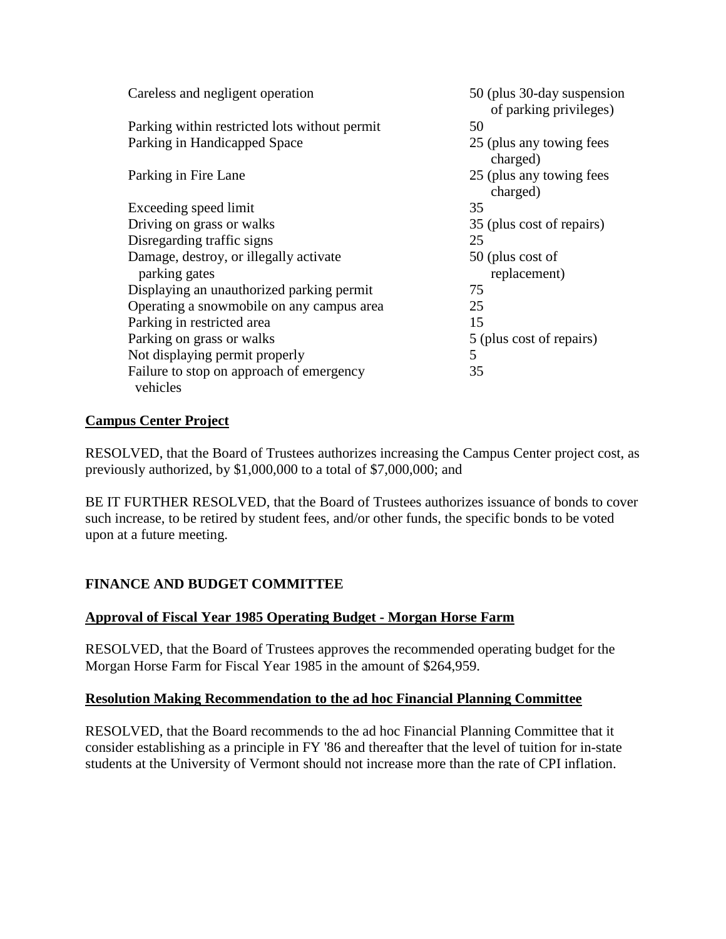<span id="page-15-0"></span>

| Careless and negligent operation              | 50 (plus 30-day suspension<br>of parking privileges) |
|-----------------------------------------------|------------------------------------------------------|
| Parking within restricted lots without permit | 50                                                   |
| Parking in Handicapped Space                  | 25 (plus any towing fees<br>charged)                 |
| Parking in Fire Lane                          | 25 (plus any towing fees<br>charged)                 |
| Exceeding speed limit                         | 35                                                   |
| Driving on grass or walks                     | 35 (plus cost of repairs)                            |
| Disregarding traffic signs                    | 25                                                   |
| Damage, destroy, or illegally activate        | 50 (plus cost of                                     |
| parking gates                                 | replacement)                                         |
| Displaying an unauthorized parking permit     | 75                                                   |
| Operating a snowmobile on any campus area     | 25                                                   |
| Parking in restricted area                    | 15                                                   |
| Parking on grass or walks                     | 5 (plus cost of repairs)                             |
| Not displaying permit properly                | 5                                                    |
| Failure to stop on approach of emergency      | 35                                                   |
| vehicles                                      |                                                      |

# **Campus Center Project**

RESOLVED, that the Board of Trustees authorizes increasing the Campus Center project cost, as previously authorized, by \$1,000,000 to a total of \$7,000,000; and

BE IT FURTHER RESOLVED, that the Board of Trustees authorizes issuance of bonds to cover such increase, to be retired by student fees, and/or other funds, the specific bonds to be voted upon at a future meeting.

# **FINANCE AND BUDGET COMMITTEE**

# **Approval of Fiscal Year 1985 Operating Budget - Morgan Horse Farm**

RESOLVED, that the Board of Trustees approves the recommended operating budget for the Morgan Horse Farm for Fiscal Year 1985 in the amount of \$264,959.

# **Resolution Making Recommendation to the ad hoc Financial Planning Committee**

RESOLVED, that the Board recommends to the ad hoc Financial Planning Committee that it consider establishing as a principle in FY '86 and thereafter that the level of tuition for in-state students at the University of Vermont should not increase more than the rate of CPI inflation.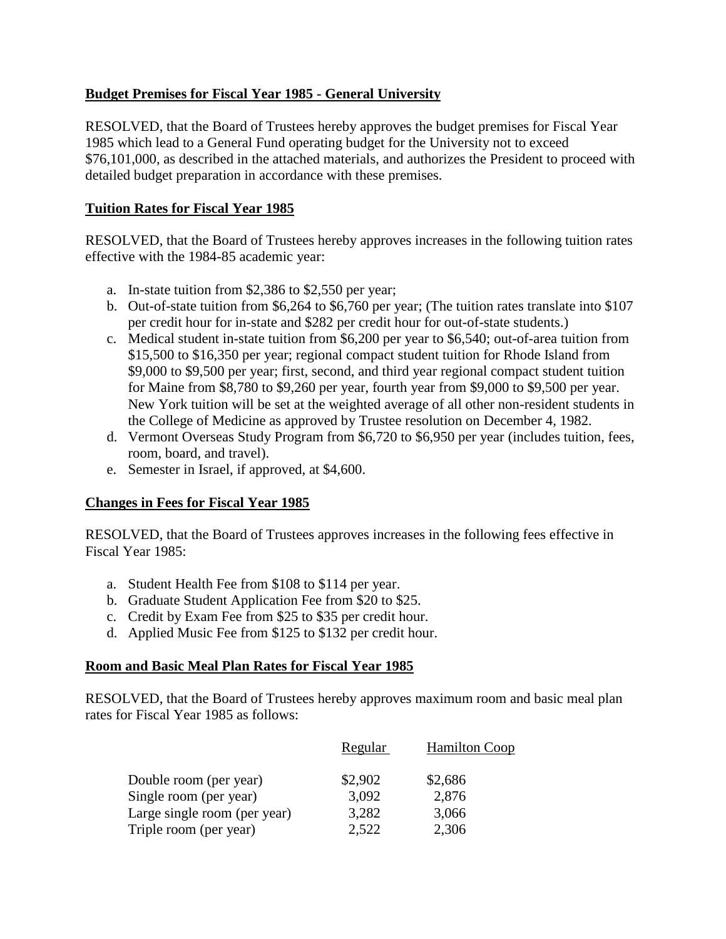# <span id="page-16-0"></span>**Budget Premises for Fiscal Year 1985 - General University**

RESOLVED, that the Board of Trustees hereby approves the budget premises for Fiscal Year 1985 which lead to a General Fund operating budget for the University not to exceed \$76,101,000, as described in the attached materials, and authorizes the President to proceed with detailed budget preparation in accordance with these premises.

# **Tuition Rates for Fiscal Year 1985**

RESOLVED, that the Board of Trustees hereby approves increases in the following tuition rates effective with the 1984-85 academic year:

- a. In-state tuition from \$2,386 to \$2,550 per year;
- b. Out-of-state tuition from \$6,264 to \$6,760 per year; (The tuition rates translate into \$107 per credit hour for in-state and \$282 per credit hour for out-of-state students.)
- c. Medical student in-state tuition from \$6,200 per year to \$6,540; out-of-area tuition from \$15,500 to \$16,350 per year; regional compact student tuition for Rhode Island from \$9,000 to \$9,500 per year; first, second, and third year regional compact student tuition for Maine from \$8,780 to \$9,260 per year, fourth year from \$9,000 to \$9,500 per year. New York tuition will be set at the weighted average of all other non-resident students in the College of Medicine as approved by Trustee resolution on December 4, 1982.
- d. Vermont Overseas Study Program from \$6,720 to \$6,950 per year (includes tuition, fees, room, board, and travel).
- e. Semester in Israel, if approved, at \$4,600.

# **Changes in Fees for Fiscal Year 1985**

RESOLVED, that the Board of Trustees approves increases in the following fees effective in Fiscal Year 1985:

- a. Student Health Fee from \$108 to \$114 per year.
- b. Graduate Student Application Fee from \$20 to \$25.
- c. Credit by Exam Fee from \$25 to \$35 per credit hour.
- d. Applied Music Fee from \$125 to \$132 per credit hour.

# **Room and Basic Meal Plan Rates for Fiscal Year 1985**

RESOLVED, that the Board of Trustees hereby approves maximum room and basic meal plan rates for Fiscal Year 1985 as follows:

|                              | Regular | <b>Hamilton Coop</b> |
|------------------------------|---------|----------------------|
| Double room (per year)       | \$2,902 | \$2,686              |
| Single room (per year)       | 3,092   | 2,876                |
| Large single room (per year) | 3,282   | 3,066                |
| Triple room (per year)       | 2,522   | 2,306                |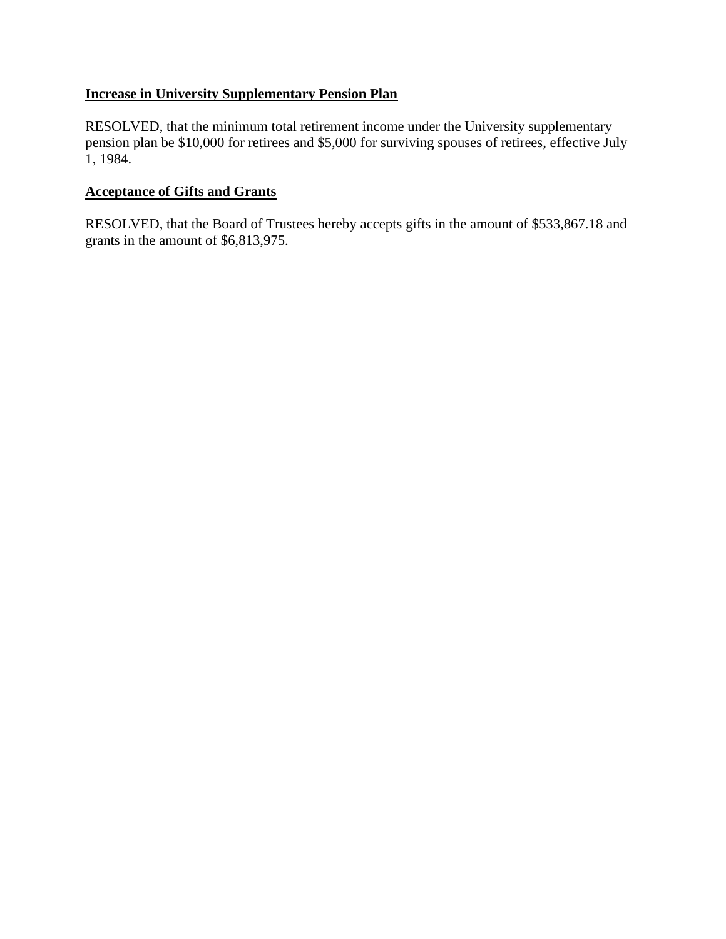## <span id="page-17-0"></span>**Increase in University Supplementary Pension Plan**

RESOLVED, that the minimum total retirement income under the University supplementary pension plan be \$10,000 for retirees and \$5,000 for surviving spouses of retirees, effective July 1, 1984.

## **Acceptance of Gifts and Grants**

RESOLVED, that the Board of Trustees hereby accepts gifts in the amount of \$533,867.18 and grants in the amount of \$6,813,975.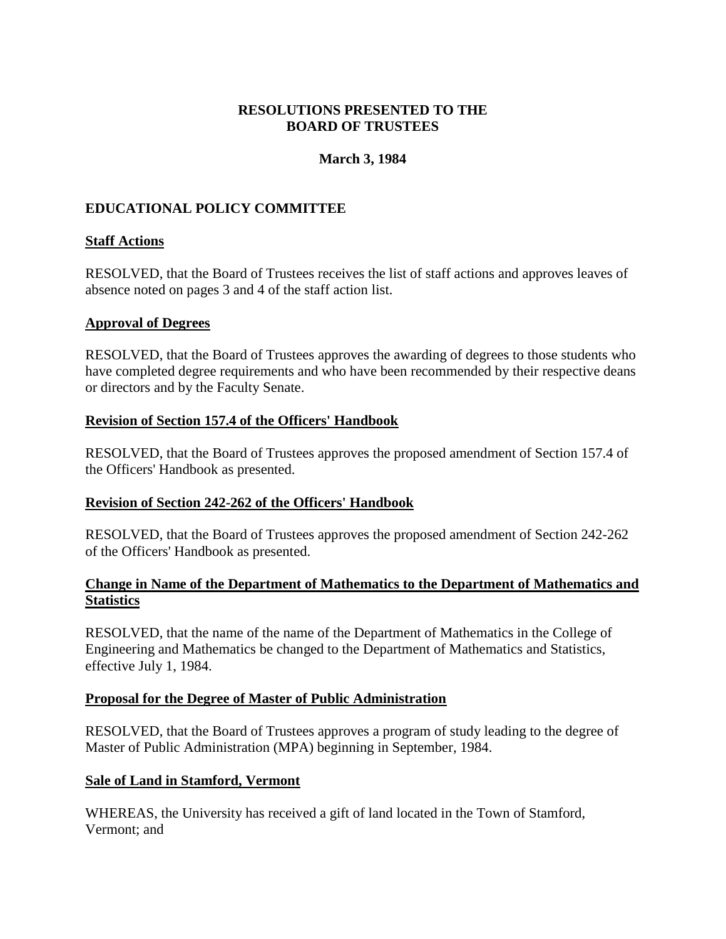## **March 3, 1984**

# <span id="page-18-0"></span>**EDUCATIONAL POLICY COMMITTEE**

## **Staff Actions**

RESOLVED, that the Board of Trustees receives the list of staff actions and approves leaves of absence noted on pages 3 and 4 of the staff action list.

#### **Approval of Degrees**

RESOLVED, that the Board of Trustees approves the awarding of degrees to those students who have completed degree requirements and who have been recommended by their respective deans or directors and by the Faculty Senate.

## **Revision of Section 157.4 of the Officers' Handbook**

RESOLVED, that the Board of Trustees approves the proposed amendment of Section 157.4 of the Officers' Handbook as presented.

# **Revision of Section 242-262 of the Officers' Handbook**

RESOLVED, that the Board of Trustees approves the proposed amendment of Section 242-262 of the Officers' Handbook as presented.

## **Change in Name of the Department of Mathematics to the Department of Mathematics and Statistics**

RESOLVED, that the name of the name of the Department of Mathematics in the College of Engineering and Mathematics be changed to the Department of Mathematics and Statistics, effective July 1, 1984.

# **Proposal for the Degree of Master of Public Administration**

RESOLVED, that the Board of Trustees approves a program of study leading to the degree of Master of Public Administration (MPA) beginning in September, 1984.

#### **Sale of Land in Stamford, Vermont**

WHEREAS, the University has received a gift of land located in the Town of Stamford, Vermont; and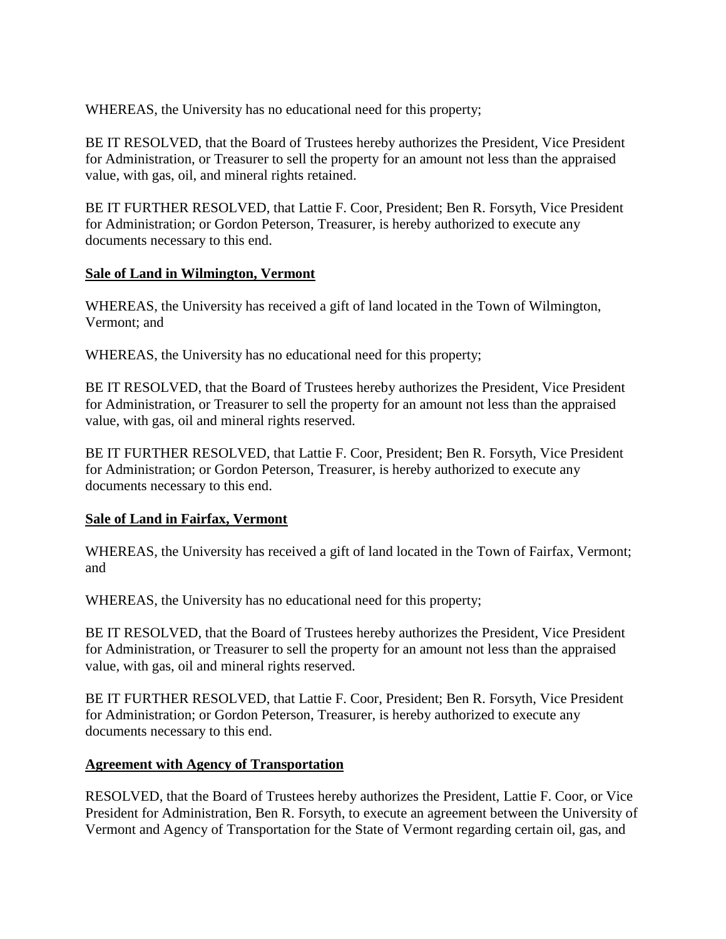<span id="page-19-0"></span>WHEREAS, the University has no educational need for this property;

BE IT RESOLVED, that the Board of Trustees hereby authorizes the President, Vice President for Administration, or Treasurer to sell the property for an amount not less than the appraised value, with gas, oil, and mineral rights retained.

BE IT FURTHER RESOLVED, that Lattie F. Coor, President; Ben R. Forsyth, Vice President for Administration; or Gordon Peterson, Treasurer, is hereby authorized to execute any documents necessary to this end.

## **Sale of Land in Wilmington, Vermont**

WHEREAS, the University has received a gift of land located in the Town of Wilmington, Vermont; and

WHEREAS, the University has no educational need for this property;

BE IT RESOLVED, that the Board of Trustees hereby authorizes the President, Vice President for Administration, or Treasurer to sell the property for an amount not less than the appraised value, with gas, oil and mineral rights reserved.

BE IT FURTHER RESOLVED, that Lattie F. Coor, President; Ben R. Forsyth, Vice President for Administration; or Gordon Peterson, Treasurer, is hereby authorized to execute any documents necessary to this end.

#### **Sale of Land in Fairfax, Vermont**

WHEREAS, the University has received a gift of land located in the Town of Fairfax, Vermont; and

WHEREAS, the University has no educational need for this property;

BE IT RESOLVED, that the Board of Trustees hereby authorizes the President, Vice President for Administration, or Treasurer to sell the property for an amount not less than the appraised value, with gas, oil and mineral rights reserved.

BE IT FURTHER RESOLVED, that Lattie F. Coor, President; Ben R. Forsyth, Vice President for Administration; or Gordon Peterson, Treasurer, is hereby authorized to execute any documents necessary to this end.

#### **Agreement with Agency of Transportation**

RESOLVED, that the Board of Trustees hereby authorizes the President, Lattie F. Coor, or Vice President for Administration, Ben R. Forsyth, to execute an agreement between the University of Vermont and Agency of Transportation for the State of Vermont regarding certain oil, gas, and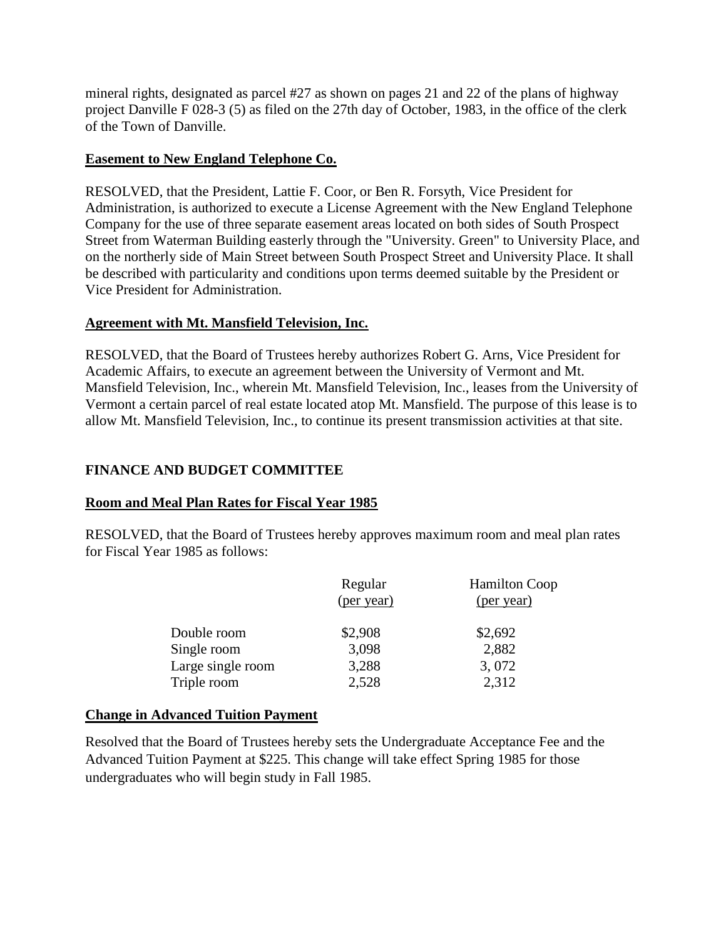<span id="page-20-0"></span>mineral rights, designated as parcel #27 as shown on pages 21 and 22 of the plans of highway project Danville F 028-3 (5) as filed on the 27th day of October, 1983, in the office of the clerk of the Town of Danville.

## **Easement to New England Telephone Co.**

RESOLVED, that the President, Lattie F. Coor, or Ben R. Forsyth, Vice President for Administration, is authorized to execute a License Agreement with the New England Telephone Company for the use of three separate easement areas located on both sides of South Prospect Street from Waterman Building easterly through the "University. Green" to University Place, and on the northerly side of Main Street between South Prospect Street and University Place. It shall be described with particularity and conditions upon terms deemed suitable by the President or Vice President for Administration.

# **Agreement with Mt. Mansfield Television, Inc.**

RESOLVED, that the Board of Trustees hereby authorizes Robert G. Arns, Vice President for Academic Affairs, to execute an agreement between the University of Vermont and Mt. Mansfield Television, Inc., wherein Mt. Mansfield Television, Inc., leases from the University of Vermont a certain parcel of real estate located atop Mt. Mansfield. The purpose of this lease is to allow Mt. Mansfield Television, Inc., to continue its present transmission activities at that site.

# **FINANCE AND BUDGET COMMITTEE**

# **Room and Meal Plan Rates for Fiscal Year 1985**

RESOLVED, that the Board of Trustees hereby approves maximum room and meal plan rates for Fiscal Year 1985 as follows:

|                   | Regular<br>(per year) | <b>Hamilton Coop</b><br>(per year) |
|-------------------|-----------------------|------------------------------------|
| Double room       | \$2,908               | \$2,692                            |
| Single room       | 3,098                 | 2,882                              |
| Large single room | 3,288                 | 3,072                              |
| Triple room       | 2,528                 | 2,312                              |

# **Change in Advanced Tuition Payment**

Resolved that the Board of Trustees hereby sets the Undergraduate Acceptance Fee and the Advanced Tuition Payment at \$225. This change will take effect Spring 1985 for those undergraduates who will begin study in Fall 1985.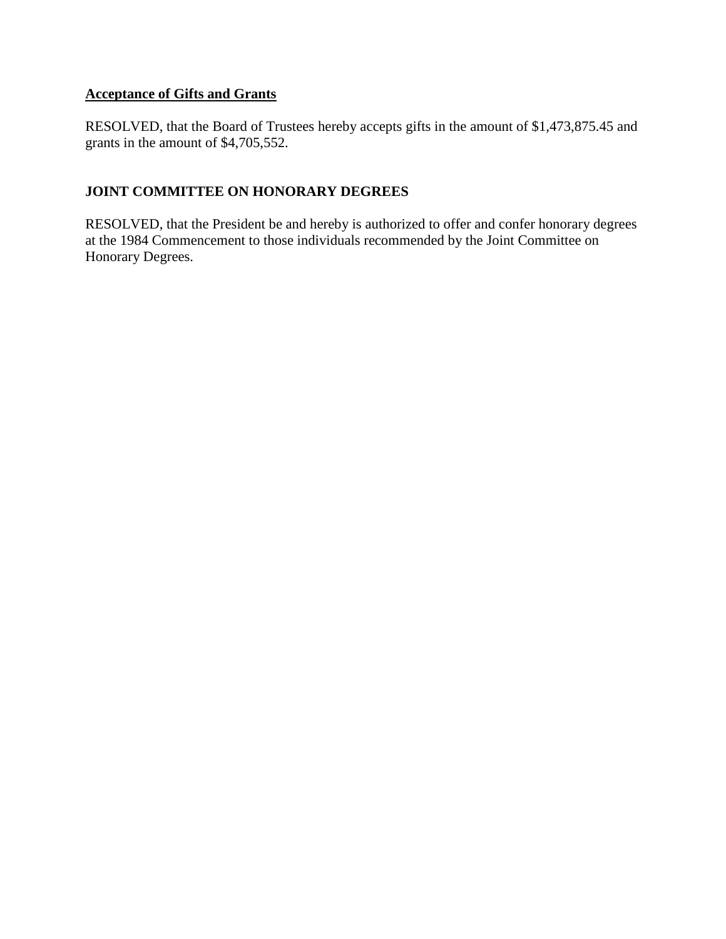# **Acceptance of Gifts and Grants**

RESOLVED, that the Board of Trustees hereby accepts gifts in the amount of \$1,473,875.45 and grants in the amount of \$4,705,552.

# **JOINT COMMITTEE ON HONORARY DEGREES**

RESOLVED, that the President be and hereby is authorized to offer and confer honorary degrees at the 1984 Commencement to those individuals recommended by the Joint Committee on Honorary Degrees.